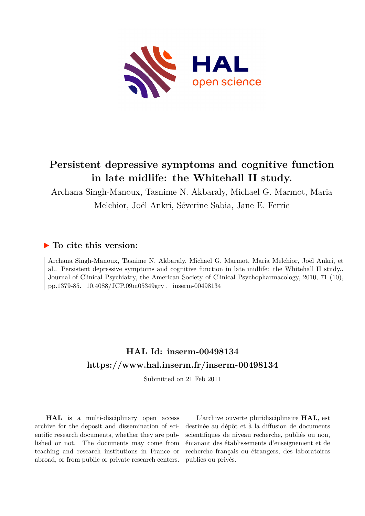

# **Persistent depressive symptoms and cognitive function in late midlife: the Whitehall II study.**

Archana Singh-Manoux, Tasnime N. Akbaraly, Michael G. Marmot, Maria Melchior, Joël Ankri, Séverine Sabia, Jane E. Ferrie

## **To cite this version:**

Archana Singh-Manoux, Tasnime N. Akbaraly, Michael G. Marmot, Maria Melchior, Joël Ankri, et al.. Persistent depressive symptoms and cognitive function in late midlife: the Whitehall II study.. Journal of Clinical Psychiatry, the American Society of Clinical Psychopharmacology, 2010, 71 (10), pp.1379-85. 10.4088/JCP.09m05349gry. inserm-00498134

## **HAL Id: inserm-00498134 <https://www.hal.inserm.fr/inserm-00498134>**

Submitted on 21 Feb 2011

**HAL** is a multi-disciplinary open access archive for the deposit and dissemination of scientific research documents, whether they are published or not. The documents may come from teaching and research institutions in France or abroad, or from public or private research centers.

L'archive ouverte pluridisciplinaire **HAL**, est destinée au dépôt et à la diffusion de documents scientifiques de niveau recherche, publiés ou non, émanant des établissements d'enseignement et de recherche français ou étrangers, des laboratoires publics ou privés.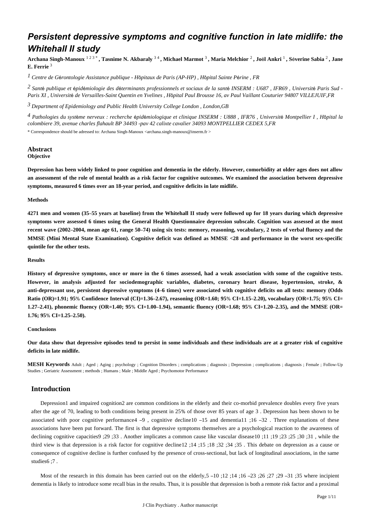## *Persistent depressive symptoms and cognitive function in late midlife: the Whitehall II study*

**Archana Singh-Manoux** 1 2 3 \* **, Tasnime N. Akbaraly** 3 4 **, Michael Marmot** <sup>3</sup> **, Maria Melchior** <sup>2</sup> **, Jo**ë**l Ankri** <sup>1</sup> **, S**é**verine Sabia** <sup>2</sup> **, Jane E. Ferrie** <sup>3</sup>

*Centre de G rontologie 1* <sup>é</sup> *Assistance publique - H*ô*pitaux de Paris (AP-HP) , H*ô*pital Sainte P*é*rine , FR*

*Sant publique et pid miologie des d terminants professionnels et sociaux de la sant 2* <sup>é</sup> <sup>é</sup> <sup>é</sup> <sup>é</sup> <sup>é</sup> *INSERM : U687 , IFR69 , Universit*é *Paris Sud - Paris XI , Universit*é *de Versailles-Saint Quentin en Yvelines , H*ô*pital Paul Brousse 16, av Paul Vaillant Couturier 94807 VILLEJUIF,FR*

<sup>3</sup> Department of Epidemiology and Public Health University College London, London, GB

*Pathologies du syst me nerveux : recherche pid miologique et clinique 4* <sup>è</sup> <sup>é</sup> <sup>é</sup> *INSERM : U888 , IFR76 , Universit*é *Montpellier I , H*ô*pital la colombiere 39, avenue charles flahault BP 34493 -pav 42 calixte cavalier 34093 MONTPELLIER CEDEX 5,FR*

\* Correspondence should be adressed to: Archana Singh-Manoux <archana.singh-manoux@inserm.fr >

#### **Abstract Objective**

**Depression has been widely linked to poor cognition and dementia in the elderly. However, comorbidity at older ages does not allow an assessment of the role of mental health as a risk factor for cognitive outcomes. We examined the association between depressive symptoms, measured 6 times over an 18-year period, and cognitive deficits in late midlife.**

#### **Methods**

**4271 men and women (35**–**55 years at baseline) from the Whitehall II study were followed up for 18 years during which depressive symptoms were assessed 6 times using the General Health Questionnaire depression subscale. Cognition was assessed at the most recent wave (2002**–**2004, mean age 61, range 50**–**74) using six tests: memory, reasoning, vocabulary, 2 tests of verbal fluency and the MMSE (Mini Mental State Examination). Cognitive deficit was defined as MMSE <28 and performance in the worst sex-specific quintile for the other tests.**

### **Results**

**History of depressive symptoms, once or more in the 6 times assessed, had a weak association with some of the cognitive tests. However, in analysis adjusted for sociodemographic variables, diabetes, coronary heart disease, hypertension, stroke, & anti-depressant use, persistent depressive symptoms (4**–**6 times) were associated with cognitive deficits on all tests: memory (Odds Ratio (OR)**=**1.91; 95**% **Confidence Interval (CI)**=**1.36**–**2.67), reasoning (OR**=**1.60; 95**% **CI**=**1.15**–**2.20), vocabulary (OR**=**1.75; 95**% **CI**= **1.27**–**2.41), phonemic fluency (OR**=**1.40; 95**% **CI**=**1.00**–**1.94), semantic fluency (OR**=**1.68; 95**% **CI**=**1.20**–**2.35), and the MMSE (OR**= **1.76; 95**% **CI**=**1.25**–**2.50).**

#### **Conclusions**

**Our data show that depressive episodes tend to persist in some individuals and these individuals are at a greater risk of cognitive deficits in late midlife.**

**MESH Keywords** Adult ; Aged ; Aging ; psychology ; Cognition Disorders ; complications ; diagnosis ; Depression ; complications ; diagnosis ; Female ; Follow-Up Studies ; Geriatric Assessment ; methods ; Humans ; Male ; Middle Aged ; Psychomotor Performance

## **Introduction**

Depression1 and impaired cognition2 are common conditions in the elderly and their co-morbid prevalence doubles every five years after the age of 70, leading to both conditions being present in 25% of those over 85 years of age 3 . Depression has been shown to be associated with poor cognitive performance 4 –9, cognitive decline 10 –15 and demential 1;16 –32. Three explanations of these associations have been put forward. The first is that depressive symptoms themselves are a psychological reaction to the awareness of declining cognitive capacities9 ;29 ;33 . Another implicates a common cause like vascular disease10 ;11 ;19 ;25 ;30 ;31 , while the third view is that depression is a risk factor for cognitive decline12 ;14 ;15 ;18 ;32 ;34 ;35 . This debate on depression as a cause or consequence of cognitive decline is further confused by the presence of cross-sectional, but lack of longitudinal associations, in the same studies6 ;7 .

Most of the research in this domain has been carried out on the elderly,  $5 - 10$ ;  $12$ ;  $14$ ;  $16 - 23$ ;  $26$ ;  $27$ ;  $29 - 31$ ;  $35$  where incipient dementia is likely to introduce some recall bias in the results. Thus, it is possible that depression is both a remote risk factor and a proximal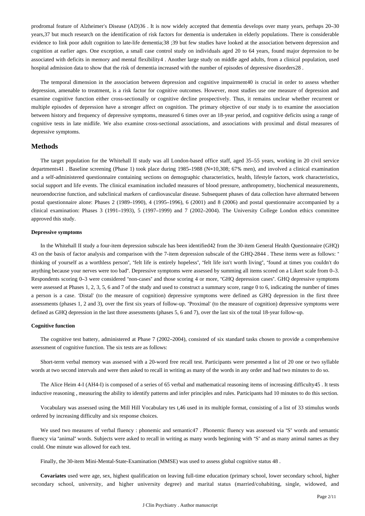prodromal feature of Alzheimer's Disease (AD)36 . It is now widely accepted that dementia develops over many years, perhaps 20–30 years,37 but much research on the identification of risk factors for dementia is undertaken in elderly populations. There is considerable evidence to link poor adult cognition to late-life dementia;38 ;39 but few studies have looked at the association between depression and cognition at earlier ages. One exception, a small case control study on individuals aged 20 to 64 years, found major depression to be associated with deficits in memory and mental flexibility4 . Another large study on middle aged adults, from a clinical population, used hospital admission data to show that the risk of dementia increased with the number of episodes of depressive disorders28 .

The temporal dimension in the association between depression and cognitive impairment40 is crucial in order to assess whether depression, amenable to treatment, is a risk factor for cognitive outcomes. However, most studies use one measure of depression and examine cognitive function either cross-sectionally or cognitive decline prospectively. Thus, it remains unclear whether recurrent or multiple episodes of depression have a stronger affect on cognition. The primary objective of our study is to examine the association between history and frequency of depressive symptoms, measured 6 times over an 18-year period, and cognitive deficits using a range of cognitive tests in late midlife. We also examine cross-sectional associations, and associations with proximal and distal measures of depressive symptoms.

## **Methods**

The target population for the Whitehall II study was all London-based office staff, aged 35–55 years, working in 20 civil service departments41 . Baseline screening (Phase 1) took place during 1985–1988 (N=10,308; 67% men), and involved a clinical examination and a self-administered questionnaire containing sections on demographic characteristics, health, lifestyle factors, work characteristics, social support and life events. The clinical examination included measures of blood pressure, anthropometry, biochemical measurements, neuroendocrine function, and subclinical markers of cardiovascular disease. Subsequent phases of data collection have alternated between postal questionnaire alone: Phases 2 (1989–1990), 4 (1995–1996), 6 (2001) and 8 (2006) and postal questionnaire accompanied by a clinical examination: Phases 3 (1991–1993), 5 (1997–1999) and 7 (2002–2004). The University College London ethics committee approved this study.

#### **Depressive symptoms**

In the Whitehall II study a four-item depression subscale has been identified42 from the 30-item General Health Questionnaire (GHQ) 43 on the basis of factor analysis and comparison with the 7-item depression subscale of the GHQ-2844 . These items were as follows: " thinking of yourself as a worthless person", "felt life is entirely hopeless", "felt life isn't worth living", "found at times you couldn't do anything because your nerves were too bad". Depressive symptoms were assessed by summing all items scored on a Likert scale from 0–3. Respondents scoring 0–3 were considered "non-cases" and those scoring 4 or more, "GHQ depression cases". GHQ depressive symptoms were assessed at Phases 1, 2, 3, 5, 6 and 7 of the study and used to construct a summary score, range 0 to 6, indicating the number of times a person is a case. 'Distal' (to the measure of cognition) depressive symptoms were defined as GHQ depression in the first three assessments (phases 1, 2 and 3), over the first six years of follow-up. "Proximal' (to the measure of cognition) depressive symptoms were defined as GHQ depression in the last three assessments (phases 5, 6 and 7), over the last six of the total 18-year follow-up.

#### **Cognitive function**

The cognitive test battery, administered at Phase 7 (2002–2004), consisted of six standard tasks chosen to provide a comprehensive assessment of cognitive function. The six tests are as follows:

Short-term verbal memory was assessed with a 20-word free recall test. Participants were presented a list of 20 one or two syllable words at two second intervals and were then asked to recall in writing as many of the words in any order and had two minutes to do so.

The Alice Heim 4-I (AH4-I) is composed of a series of 65 verbal and mathematical reasoning items of increasing difficulty45 . It tests inductive reasoning , measuring the ability to identify patterns and infer principles and rules. Participants had 10 minutes to do this section.

Vocabulary was assessed using the Mill Hill Vocabulary tes t,46 used in its multiple format, consisting of a list of 33 stimulus words ordered by increasing difficulty and six response choices.

We used two measures of verbal fluency : phonemic and semantic47. Phonemic fluency was assessed via "S" words and semantic fluency via "animal" words. Subjects were asked to recall in writing as many words beginning with "S" and as many animal names as they could. One minute was allowed for each test.

Finally, the 30-item Mini-Mental-State-Examination (MMSE) was used to assess global cognitive status 48 .

**Covariates** used were age, sex, highest qualification on leaving full-time education (primary school, lower secondary school, higher secondary school, university, and higher university degree) and marital status (married/cohabiting, single, widowed, and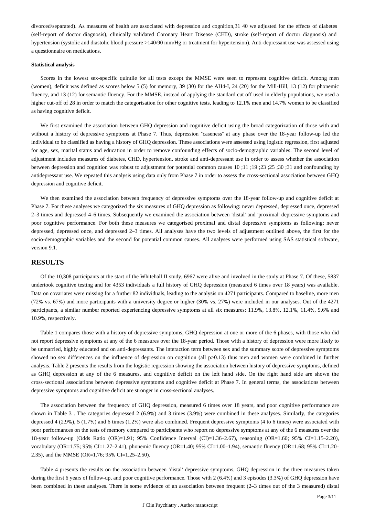divorced/separated). As measures of health are associated with depression and cognition,31 40 we adjusted for the effects of diabetes (self-report of doctor diagnosis), clinically validated Coronary Heart Disease (CHD), stroke (self-report of doctor diagnosis) and hypertension (systolic and diastolic blood pressure >140/90 mm/Hg or treatment for hypertension). Anti-depressant use was assessed using a questionnaire on medications.

#### **Statistical analysis**

Scores in the lowest sex-specific quintile for all tests except the MMSE were seen to represent cognitive deficit. Among men (women), deficit was defined as scores below 5 (5) for memory, 39 (30) for the AH4-I, 24 (20) for the Mill-Hill, 13 (12) for phonemic fluency, and 13 (12) for semantic fluency. For the MMSE, instead of applying the standard cut off used in elderly populations, we used a higher cut-off of 28 in order to match the categorisation for other cognitive tests, leading to 12.1% men and 14.7% women to be classified as having cognitive deficit.

We first examined the association between GHQ depression and cognitive deficit using the broad categorization of those with and without a history of depressive symptoms at Phase 7. Thus, depression "caseness" at any phase over the 18-year follow-up led the individual to be classified as having a history of GHQ depression. These associations were assessed using logistic regression, first adjusted for age, sex, marital status and education in order to remove confounding effects of socio-demographic variables. The second level of adjustment includes measures of diabetes, CHD, hypertension, stroke and anti-depressant use in order to assess whether the association between depression and cognition was robust to adjustment for potential common causes 10 ;11 ;19 ;23 ;25 ;30 ;31 and confounding by antidepressant use. We repeated this analysis using data only from Phase 7 in order to assess the cross-sectional association between GHQ depression and cognitive deficit.

We then examined the association between frequency of depressive symptoms over the 18-year follow-up and cognitive deficit at Phase 7. For these analyses we categorized the six measures of GHQ depression as following: never depressed, depressed once, depressed 2–3 times and depressed 4–6 times. Subsequently we examined the association between 'distal' and 'proximal' depressive symptoms and poor cognitive performance. For both these measures we categorised proximal and distal depressive symptoms as following: never depressed, depressed once, and depressed 2–3 times. All analyses have the two levels of adjustment outlined above, the first for the socio-demographic variables and the second for potential common causes. All analyses were performed using SAS statistical software, version 9.1.

### **RESULTS**

Of the 10,308 participants at the start of the Whitehall II study, 6967 were alive and involved in the study at Phase 7. Of these, 5837 undertook cognitive testing and for 4353 individuals a full history of GHQ depression (measured 6 times over 18 years) was available. Data on covariates were missing for a further 82 individuals, leading to the analysis on 4271 participants. Compared to baseline, more men (72% vs. 67%) and more participants with a university degree or higher (30% vs. 27%) were included in our analyses. Out of the 4271 participants, a similar number reported experiencing depressive symptoms at all six measures: 11.9%, 13.8%, 12.1%, 11.4%, 9.6% and 10.9%, respectively.

Table 1 compares those with a history of depressive symptoms, GHQ depression at one or more of the 6 phases, with those who did not report depressive symptoms at any of the 6 measures over the 18-year period. Those with a history of depression were more likely to be unmarried, highly educated and on anti-depressants. The interaction term between sex and the summary score of depressive symptoms showed no sex differences on the influence of depression on cognition (all p>0.13) thus men and women were combined in further analysis. Table 2 presents the results from the logistic regression showing the association between history of depressive symptoms, defined as GHQ depression at any of the 6 measures, and cognitive deficit on the left hand side. On the right hand side are shown the cross-sectional associations between depressive symptoms and cognitive deficit at Phase 7. In general terms, the associations between depressive symptoms and cognitive deficit are stronger in cross-sectional analyses.

The association between the frequency of GHQ depression, measured 6 times over 18 years, and poor cognitive performance are shown in Table 3 . The categories depressed 2 (6.9%) and 3 times (3.9%) were combined in these analyses. Similarly, the categories depressed 4 (2.9%), 5 (1.7%) and 6 times (1.2%) were also combined. Frequent depressive symptoms (4 to 6 times) were associated with poor performances on the tests of memory compared to participants who report no depressive symptoms at any of the 6 measures over the 18-year follow-up (Odds Ratio (OR)=1.91; 95% Confidence Interval (CI)=1.36–2.67), reasoning (OR=1.60; 95% CI=1.15–2.20), vocabulary (OR=1.75; 95% CI=1.27–2.41), phonemic fluency (OR=1.40; 95% CI=1.00–1.94), semantic fluency (OR=1.68; 95% CI=1.20– 2.35), and the MMSE (OR=1.76; 95% CI=1.25–2.50).

Table 4 presents the results on the association between 'distal' depressive symptoms, GHQ depression in the three measures taken during the first 6 years of follow-up, and poor cognitive performance. Those with 2 (6.4%) and 3 episodes (3.3%) of GHQ depression have been combined in these analyses. There is some evidence of an association between frequent (2–3 times out of the 3 measured) distal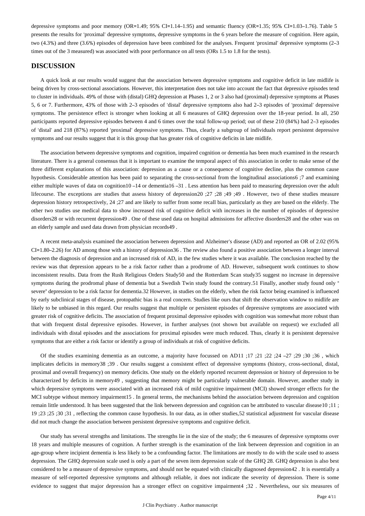depressive symptoms and poor memory (OR=1.49; 95% CI=1.14–1.95) and semantic fluency (OR=1.35; 95% CI=1.03–1.76). Table 5 presents the results for 'proximal' depressive symptoms, depressive symptoms in the 6 years before the measure of cognition. Here again, two (4.3%) and three (3.6%) episodes of depression have been combined for the analyses. Frequent 'proximal' depressive symptoms (2–3 times out of the 3 measured) was associated with poor performance on all tests (ORs 1.5 to 1.8 for the tests).

## **DISCUSSION**

A quick look at our results would suggest that the association between depressive symptoms and cognitive deficit in late midlife is being driven by cross-sectional associations. However, this interpretation does not take into account the fact that depressive episodes tend to cluster in individuals. 49% of those with (distal) GHQ depression at Phases 1, 2 or 3 also had (proximal) depressive symptoms at Phases 5, 6 or 7. Furthermore, 43% of those with 2–3 episodes of 'distal' depressive symptoms also had 2–3 episodes of 'proximal' depressive symptoms. The persistence effect is stronger when looking at all 6 measures of GHQ depression over the 18-year period. In all, 250 participants reported depressive episodes between 4 and 6 times over the total follow-up period; out of these 210 (84%) had 2–3 episodes of 'distal' and 218 (87%) reported 'proximal' depressive symptoms. Thus, clearly a subgroup of individuals report persistent depressive symptoms and our results suggest that it is this group that has greater risk of cognitive deficits in late midlife.

The association between depressive symptoms and cognition, impaired cognition or dementia has been much examined in the research literature. There is a general consensus that it is important to examine the temporal aspect of this association in order to make sense of the three different explanations of this association: depression as a cause or a consequence of cognitive decline, plus the common cause hypothesis. Considerable attention has been paid to separating the cross-sectional from the longitudinal associations6 ;7 and examining either multiple waves of data on cognition10 –14 or dementia16 –31 . Less attention has been paid to measuring depression over the adult lifecourse. The exceptions are studies that assess history of depression20 ;27 ;28 ;49 ;49 . However, two of these studies measure depression history retrospectively, 24 ;27 and are likely to suffer from some recall bias, particularly as they are based on the elderly. The other two studies use medical data to show increased risk of cognitive deficit with increases in the number of episodes of depressive disorders28 or with recurrent depression49 . One of these used data on hospital admissions for affective disorders28 and the other was on an elderly sample and used data drawn from physician records49 .

A recent meta-analysis examined the association between depression and Alzheimer's disease (AD) and reported an OR of 2.02 (95% CI=1.80–2.26) for AD among those with a history of depression36 . The review also found a positive association between a longer interval between the diagnosis of depression and an increased risk of AD, in the few studies where it was available. The conclusion reached by the review was that depression appears to be a risk factor rather than a prodrome of AD. However, subsequent work continues to show inconsistent results. Data from the Rush Religious Orders Study50 and the Rotterdam Scan study35 suggest no increase in depressive symptoms during the prodromal phase of dementia but a Swedish Twin study found the contrary.51 Finally, another study found only " severe" depression to be a risk factor for dementia.32 However, in studies on the elderly, when the risk factor being examined is influenced by early subclinical stages of disease, protopathic bias is a real concern. Studies like ours that shift the observation window to midlife are likely to be unbiased in this regard. Our results suggest that multiple or persistent episodes of depressive symptoms are associated with greater risk of cognitive deficits. The association of frequent proximal depressive episodes with cognition was somewhat more robust than that with frequent distal depressive episodes. However, in further analyses (not shown but available on request) we excluded all individuals with distal episodes and the associations for proximal episodes were much reduced. Thus, clearly it is persistent depressive symptoms that are either a risk factor or identify a group of individuals at risk of cognitive deficits.

Of the studies examining dementia as an outcome, a majority have focussed on AD11 ;17 ;21 ;22 ;24 –27 ;29 ;30 ;36 , which implicates deficits in memory38 ;39 . Our results suggest a consistent effect of depressive symptoms (history, cross-sectional, distal, proximal and overall frequency) on memory deficits. One study on the elderly reported recurrent depression or history of depression to be characterized by deficits in memory49 , suggesting that memory might be particularly vulnerable domain. However, another study in which depressive symptoms were associated with an increased risk of mild cognitive impairment (MCI) showed stronger effects for the MCI subtype without memory impairment15 . In general terms, the mechanisms behind the association between depression and cognition remain little understood. It has been suggested that the link between depression and cognition can be attributed to vascular disease10 ;11 ; 19 ;23 ;25 ;30 ;31 , reflecting the common cause hypothesis. In our data, as in other studies,52 statistical adjustment for vascular disease did not much change the association between persistent depressive symptoms and cognitive deficit.

Our study has several strengths and limitations. The strengths lie in the size of the study; the 6 measures of depressive symptoms over 18 years and multiple measures of cognition. A further strength is the examination of the link between depression and cognition in an age-group where incipient dementia is less likely to be a confounding factor. The limitations are mostly to do with the scale used to assess depression. The GHQ depression scale used is only a part of the seven item depression scale of the GHQ 28. GHQ depression is also best considered to be a measure of depressive symptoms, and should not be equated with clinically diagnosed depression42 . It is essentially a measure of self-reported depressive symptoms and although reliable, it does not indicate the severity of depression. There is some evidence to suggest that major depression has a stronger effect on cognitive impairment4 ;32 . Nevertheless, our six measures of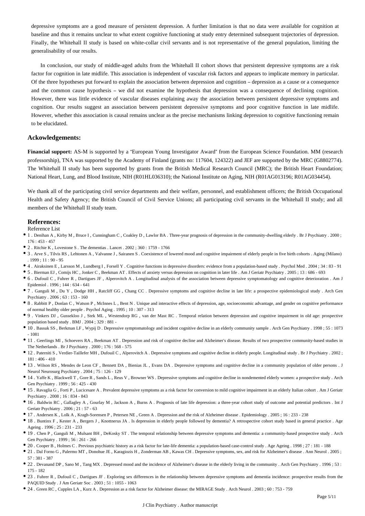depressive symptoms are a good measure of persistent depression. A further limitation is that no data were available for cognition at baseline and thus it remains unclear to what extent cognitive functioning at study entry determined subsequent trajectories of depression. Finally, the Whitehall II study is based on white-collar civil servants and is not representative of the general population, limiting the generalisability of our results.

In conclusion, our study of middle-aged adults from the Whitehall II cohort shows that persistent depressive symptoms are a risk factor for cognition in late midlife. This association is independent of vascular risk factors and appears to implicate memory in particular. Of the three hypotheses put forward to explain the association between depression and cognition – depression as a cause or a consequence and the common cause hypothesis – we did not examine the hypothesis that depression was a consequence of declining cognition. However, there was little evidence of vascular diseases explaining away the association between persistent depressive symptoms and cognition. Our results suggest an association between persistent depressive symptoms and poor cognitive function in late midlife. However, whether this association is causal remains unclear as the precise mechanisms linking depression to cognitive functioning remain to be elucidated.

### **Ackowledgements:**

**Financial support:** AS-M is supported by a "European Young Investigator Award" from the European Science Foundation. MM (research professorship), TNA was supported by the Academy of Finland (grants no: 117604, 124322) and JEF are supported by the MRC (G8802774). The Whitehall II study has been supported by grants from the British Medical Research Council (MRC); the British Heart Foundation; National Heart, Lung, and Blood Institute, NIH (R01HL036310); the National Institute on Aging, NIH (R01AG013196; R01AG034454).

We thank all of the participating civil service departments and their welfare, personnel, and establishment officers; the British Occupational Health and Safety Agency; the British Council of Civil Service Unions; all participating civil servants in the Whitehall II study; and all members of the Whitehall II study team.

#### **References:**

Reference List

- 1 . Denihan A , Kirby M , Bruce I , Cunningham C , Coakley D , Lawlor BA . Three-year prognosis of depression in the community-dwelling elderly . Br J Psychiatry . 2000 ;  $176 \cdot 453 - 457$
- 2 . Ritchie K , Lovestone S . The dementias . Lancet . 2002 ; 360 : 1759 1766
- 3 . Arve S , Tilvis RS , Lehtonen A , Valvanne J , Sairanen S . Coexistence of lowered mood and cognitive impairment of elderly people in five birth cohorts . Aging (Milano)  $1999 \cdot 11 \cdot 90 - 95$
- 4 . Airaksinen E , Larsson M , Lundberg I , Forsell Y . Cognitive functions in depressive disorders: evidence from a population-based study . Psychol Med . 2004 ; 34 : 83 91
- 5 . Bierman EJ , Comijs HC , Jonker C , Beekman AT . Effects of anxiety versus depression on cognition in later life . Am J Geriatr Psychiatry . 2005 ; 13 : 686 693
- 6 . Dufouil C , Fuhrer R , Dartigues JF , Alperovitch A . Longitudinal analysis of the association between depressive symptomatology and cognitive deterioration . Am J Epidemiol . 1996 ; 144 : 634 - 641
- 7 . Ganguli M , Du Y , Dodge HH , Ratcliff GG , Chang CC . Depressive symptoms and cognitive decline in late life: a prospective epidemiological study . Arch Gen Psychiatry . 2006 ; 63 : 153 - 160
- 8 . Rabbitt P , Donlan C , Watson P , McInnes L , Bent N . Unique and interactive effects of depression, age, socioeconomic advantage, and gender on cognitive performance of normal healthy older people . Psychol Aging . 1995 ; 10 : 307 - 313
- 9 . Vinkers DJ , Gussekloo J , Stek ML , Westendorp RG , van der Mast RC . Temporal relation between depression and cognitive impairment in old age: prospective population based study . BMJ . 2004 ; 329 : 881 -
- 10 . Bassuk SS , Berkman LF , Wypij D . Depressive symptomatology and incident cognitive decline in an elderly community sample . Arch Gen Psychiatry . 1998 ; 55 : 1073 - 1081
- 11 . Geerlings MI , Schoevers RA , Beekman AT . Depression and risk of cognitive decline and Alzheimer's disease. Results of two prospective community-based studies in The Netherlands . Br J Psychiatry . 2000 ; 176 : 568 - 575
- 12 . Paterniti S , Verdier-Taillefer MH , Dufouil C , Alperovitch A . Depressive symptoms and cognitive decline in elderly people. Longitudinal study . Br J Psychiatry . 2002 ; 181 : 406 - 410
- 13 . Wilson RS , Mendes de Leon CF , Bennett DA , Bienias JL , Evans DA . Depressive symptoms and cognitive decline in a community population of older persons . J Neurol Neurosurg Psychiatry . 2004 ; 75 : 126 - 129
- 14 . Yaffe K , Blackwell T , Gore R , Sands L , Reus V , Browner WS . Depressive symptoms and cognitive decline in nondemented elderly women: a prospective study . Arch Gen Psychiatry . 1999 ; 56 : 425 - 430
- 15 . Ravaglia G , Forti P , Lucicesare A . Prevalent depressive symptoms as a risk factor for conversion to mild cognitive impairment in an elderly Italian cohort . Am J Geriatr Psychiatry . 2008 ; 16 : 834 - 843
- 16 . Baldwin RC , Gallagley A , Gourlay M , Jackson A , Burns A . Prognosis of late life depression: a three-year cohort study of outcome and potential predictors . Int J Geriatr Psychiatry . 2006 ; 21 : 57 - 63
- 17 . Andersen K , Lolk A , Kragh-Sorensen P , Petersen NE , Green A . Depression and the risk of Alzheimer disease . Epidemiology . 2005 ; 16 : 233 238
- 18 . Buntinx F , Kester A , Bergers J , Knottnerus JA . Is depression in elderly people followed by dementia? A retrospective cohort study based in general practice . Age Ageing . 1996 ; 25 : 231 - 233
- 19 . Chen P , Ganguli M , Mulsant BH , DeKosky ST . The temporal relationship between depressive symptoms and dementia: a community-based prospective study . Arch Gen Psychiatry . 1999 ; 56 : 261 - 266
- 20 . Cooper B , Holmes C . Previous psychiatric history as a risk factor for late-life dementia: a population-based case-control study . Age Ageing . 1998 ; 27 : 181 188
- 21 . Dal Forno G , Palermo MT , Donohue JE , Karagiozis H , Zonderman AB , Kawas CH . Depressive symptoms, sex, and risk for Alzheimer's disease . Ann Neurol . 2005 ; 57 : 381 - 387
- 22 . Devanand DP , Sano M , Tang MX . Depressed mood and the incidence of Alzheimer's disease in the elderly living in the community . Arch Gen Psychiatry . 1996 ; 53 : 175 - 182
- 23 . Fuhrer R , Dufouil C , Dartigues JF . Exploring sex differences in the relationship between depressive symptoms and dementia incidence: prospective results from the PAQUID Study . J Am Geriatr Soc . 2003 ; 51 : 1055 - 1063
- 24 . Green RC , Cupples LA , Kurz A . Depression as a risk factor for Alzheimer disease: the MIRAGE Study . Arch Neurol . 2003 ; 60 : 753 759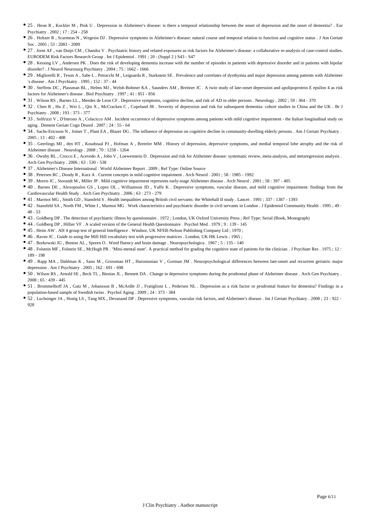- 25 . Heun R, Kockler M, Ptok U. Depression in Alzheimer's disease: is there a temporal relationship between the onset of depression and the onset of dementia? . Eur Psychiatry . 2002 ; 17 : 254 - 258
- 26 . Holtzer R , Scarmeas N , Wegesin DJ . Depressive symptoms in Alzheimer's disease: natural course and temporal relation to function and cognitive status . J Am Geriatr Soc . 2005 ; 53 : 2083 - 2089
- 27 . Jorm AF , van Duijn CM , Chandra V . Psychiatric history and related exposures as risk factors for Alzheimer's disease: a collaborative re-analysis of case-control studies. EURODEM Risk Factors Research Group . Int J Epidemiol . 1991 ; 20 : (Suppl 2 ) S43 - S47
- 28 . Kessing LV , Andersen PK . Does the risk of developing dementia increase with the number of episodes in patients with depressive disorder and in patients with bipolar disorder? . J Neurol Neurosurg Psychiatry . 2004 ; 75 : 1662 - 1666
- 29 . Migliorelli R , Teson A , Sabe L , Petracchi M , Leiguarda R , Starkstein SE . Prevalence and correlates of dysthymia and major depression among patients with Alzheimer 's disease . Am J Psychiatry . 1995 ; 152 : 37 - 44
- 30 . Steffens DC , Plassman BL , Helms MJ , Welsh-Bohmer KA , Saunders AM , Breitner JC . A twin study of late-onset depression and apolipoprotein E epsilon 4 as risk factors for Alzheimer's disease . Biol Psychiatry . 1997 ; 41 : 851 - 856
- 31 . Wilson RS , Barnes LL , Mendes de Leon CF . Depressive symptoms, cognitive decline, and risk of AD in older persons . Neurology . 2002 ; 59 : 364 370
- 32 . Chen R , Hu Z , Wei L , Qin X , McCracken C , Copeland JR . Severity of depression and risk for subsequent dementia: cohort studies in China and the UK . Br J Psychiatry . 2008 ; 193 : 373 - 377
- 33 . Solfrizzi V , D'Introno A , Colacicco AM . Incident occurrence of depressive symptoms among patients with mild cognitive impairment the Italian longitudinal study on aging . Dement Geriatr Cogn Disord . 2007 ; 24 : 55 - 64
- 34 . Sachs-Ericsson N , Joiner T , Plant EA , Blazer DG . The influence of depression on cognitive decline in community-dwelling elderly persons . Am J Geriatr Psychiatry .  $2005 : 13 : 402 - 408$
- 35 . Geerlings MI , den HT , Koudstaal PJ , Hofman A , Breteler MM . History of depression, depressive symptoms, and medial temporal lobe atrophy and the risk of Alzheimer disease . Neurology . 2008 ; 70 : 1258 - 1264
- 36 . Ownby RL , Crocco E , Acevedo A , John V , Loewenstein D . Depression and risk for Alzheimer disease: systematic review, meta-analysis, and metaregression analysis . Arch Gen Psychiatry . 2006 ; 63 : 530 - 538
- 37 . Alzheimer's Disease International . World Alzheimer Report . 2009 ; Ref Type: Online Source
- 38 . Petersen RC , Doody R , Kurz A . Current concepts in mild cognitive impairment . Arch Neurol . 2001 ; 58 : 1985 1992
- 39 . Morris JC , Storandt M , Miller JP . Mild cognitive impairment represents early-stage Alzheimer disease . Arch Neurol . 2001 ; 58 : 397 405
- 40 . Barnes DE , Alexopoulos GS , Lopez OL , Williamson JD , Yaffe K . Depressive symptoms, vascular disease, and mild cognitive impairment: findings from the Cardiovascular Health Study . Arch Gen Psychiatry . 2006 ; 63 : 273 - 279
- 41 . Marmot MG , Smith GD , Stansfeld S . Health inequalities among British civil servants: the Whitehall II study . Lancet . 1991 ; 337 : 1387 1393
- 42 . Stansfeld SA , North FM , White I , Marmot MG . Work characteristics and psychiatric disorder in civil servants in London . J Epidemiol Community Health . 1995 ; 49 : 48 - 53
- 43 . Goldberg DP . The detection of psychiatric illness by questionnaire . 1972 ; London, UK Oxford University Press ; Ref Type: Serial (Book, Monograph)
- 44 . Goldberg DP , Hillier VF . A scaled version of the General Health Questionnaire . Psychol Med . 1979 ; 9 : 139 145
- 45 . Heim AW . AH 4 group test of general Intelligence . Windsor, UK NFER-Nelson Publishing Company Ltd ; 1970 ;
- 46 . Raven JC . Guide to using the Mill Hill vocabulary test with progressive matrices . London, UK HK Lewis ; 1965 ;
- 47 . Borkowski JG , Benton AL , Spreen O . Word fluency and brain damage . Neuropsychologica . 1967 ; 5 : 135 140
- 48 . Folstein MF , Folstein SE , McHugh PR . "Mini-mental state". A practical method for grading the cognitive state of patients for the clinician . J Psychiatr Res . 1975 ; 12 : 189 - 198
- 49 . Rapp MA , Dahlman K , Sano M , Grossman HT , Haroutunian V , Gorman JM . Neuropsychological differences between late-onset and recurrent geriatric major depression . Am J Psychiatry . 2005 ; 162 : 691 - 698
- 50 . Wilson RS , Arnold SE , Beck TL , Bienias JL , Bennett DA . Change in depressive symptoms during the prodromal phase of Alzheimer disease . Arch Gen Psychiatry . 2008 ; 65 : 439 - 445
- 51 . Brommelhoff JA , Gatz M , Johansson B , McArdle JJ , Fratiglioni L , Pedersen NL . Depression as a risk factor or prodromal feature for dementia? Findings in a population-based sample of Swedish twins . Psychol Aging . 2009 ; 24 : 373 - 384
- 52 . Luchsinger JA , Honig LS , Tang MX , Devanand DP . Depressive symptoms, vascular risk factors, and Alzheimer's disease . Int J Geriatr Psychiatry . 2008 ; 23 : 922 928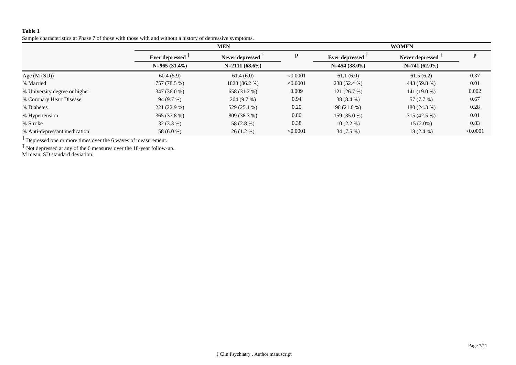Sample characteristics at Phase 7 of those with those with and without a history of depressive symptoms.

|                               | <b>MEN</b>      |                               |          | <b>WOMEN</b>    |                              |          |
|-------------------------------|-----------------|-------------------------------|----------|-----------------|------------------------------|----------|
|                               | Ever depressed  | Never depressed $\frac{1}{2}$ | p        | Ever depressed  | Never depressed <sup>1</sup> | p        |
|                               | $N=965(31.4\%)$ | $N=2111(68.6\%)$              |          | $N=454(38.0\%)$ | $N=741(62.0\%)$              |          |
| Age $(M(SD))$                 | 60.4(5.9)       | 61.4(6.0)                     | < 0.0001 | 61.1(6.0)       | 61.5(6.2)                    | 0.37     |
| % Married                     | 757 (78.5 %)    | 1820 (86.2 %)                 | < 0.0001 | 238 (52.4 %)    | 443 (59.8 %)                 | 0.01     |
| % University degree or higher | $347(36.0\%)$   | 658 (31.2 %)                  | 0.009    | 121(26.7%)      | $141(19.0\%)$                | 0.002    |
| % Coronary Heart Disease      | 94(9.7%)        | 204(9.7%)                     | 0.94     | $38(8.4\%)$     | 57 (7.7 %)                   | 0.67     |
| % Diabetes                    | $221(22.9\%)$   | $529(25.1\%)$                 | 0.20     | 98(21.6%)       | $180(24.3\%)$                | 0.28     |
| % Hypertension                | 365(37.8%)      | 809 (38.3 %)                  | 0.80     | 159 (35.0 %)    | $315(42.5\%)$                | 0.01     |
| % Stroke                      | $32(3.3\%)$     | 58 (2.8 %)                    | 0.38     | $10(2.2\%)$     | $15(2.0\%)$                  | 0.83     |
| % Anti-depressant medication  | 58 (6.0 %)      | $26(1.2\%)$                   | < 0.0001 | $34(7.5\%)$     | $18(2.4\%)$                  | < 0.0001 |

<sup>†</sup> Depressed one or more times over the 6 waves of measurement.

‡ Not depressed at any of the 6 measures over the 18-year follow-up.

M mean, SD standard deviation.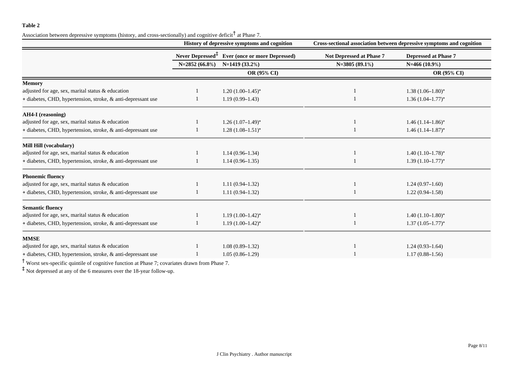Association between depressive symptoms (history, and cross-sectionally) and cognitive deficit  $^{\dagger}$  at Phase 7.

|                                                              | History of depressive symptoms and cognition |                                                            | Cross-sectional association between depressive symptoms and cognition |                             |
|--------------------------------------------------------------|----------------------------------------------|------------------------------------------------------------|-----------------------------------------------------------------------|-----------------------------|
|                                                              |                                              | Never Depressed <sup>‡</sup> Ever (once or more Depressed) | Not Depressed at Phase 7                                              | <b>Depressed at Phase 7</b> |
|                                                              | $N=2852(66.8\%)$                             | $N=1419(33.2%)$                                            | $N=3805(89.1\%)$                                                      | $N=466(10.9\%)$             |
|                                                              |                                              | OR (95% CI)                                                |                                                                       | OR (95% CI)                 |
| <b>Memory</b>                                                |                                              |                                                            |                                                                       |                             |
| adjusted for age, sex, marital status & education            |                                              | $1.20(1.00-1.45)^{*}$                                      |                                                                       | $1.38(1.06-1.80)$ *         |
| + diabetes, CHD, hypertension, stroke, & anti-depressant use |                                              | $1.19(0.99 - 1.43)$                                        |                                                                       | $1.36(1.04 - 1.77)^*$       |
| <b>AH4-I</b> (reasoning)                                     |                                              |                                                            |                                                                       |                             |
| adjusted for age, sex, marital status & education            |                                              | $1.26(1.07-1.49)^{*}$                                      |                                                                       | $1.46(1.14-1.86)$ *         |
| + diabetes, CHD, hypertension, stroke, & anti-depressant use |                                              | $1.28(1.08-1.51)^{*}$                                      |                                                                       | $1.46(1.14 - 1.87)^{*}$     |
| Mill Hill (vocabulary)                                       |                                              |                                                            |                                                                       |                             |
| adjusted for age, sex, marital status & education            |                                              | $1.14(0.96 - 1.34)$                                        |                                                                       | $1.40(1.10-1.78)$ *         |
| + diabetes, CHD, hypertension, stroke, & anti-depressant use |                                              | $1.14(0.96 - 1.35)$                                        |                                                                       | $1.39(1.10-1.77)$ *         |
| <b>Phonemic fluency</b>                                      |                                              |                                                            |                                                                       |                             |
| adjusted for age, sex, marital status & education            |                                              | $1.11(0.94 - 1.32)$                                        |                                                                       | $1.24(0.97-1.60)$           |
| + diabetes, CHD, hypertension, stroke, & anti-depressant use |                                              | $1.11(0.94 - 1.32)$                                        |                                                                       | $1.22(0.94 - 1.58)$         |
| <b>Semantic fluency</b>                                      |                                              |                                                            |                                                                       |                             |
| adjusted for age, sex, marital status & education            |                                              | $1.19(1.00-1.42)^{*}$                                      |                                                                       | $1.40(1.10-1.80)$ *         |
| + diabetes, CHD, hypertension, stroke, & anti-depressant use |                                              | $1.19(1.00-1.42)$ *                                        |                                                                       | $1.37(1.05-1.77)^{*}$       |
| <b>MMSE</b>                                                  |                                              |                                                            |                                                                       |                             |
| adjusted for age, sex, marital status & education            |                                              | $1.08(0.89 - 1.32)$                                        |                                                                       | $1.24(0.93 - 1.64)$         |
| + diabetes, CHD, hypertension, stroke, & anti-depressant use |                                              | $1.05(0.86 - 1.29)$                                        |                                                                       | $1.17(0.88 - 1.56)$         |

† Worst sex-specific quintile of cognitive function at Phase 7; covariates drawn from Phase 7.

‡ Not depressed at any of the 6 measures over the 18-year follow-up.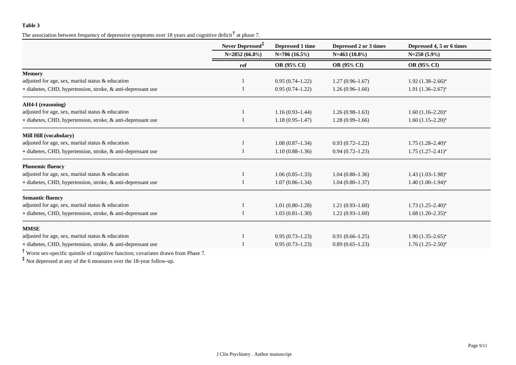The association between frequency of depressive symptoms over 18 years and cognitive deficit  $\dagger$  at phase 7.

|                                                              | Never Depressed <sup>+</sup> | Depressed 1 time    | Depressed 2 or 3 times | Depressed 4, 5 or 6 times |  |
|--------------------------------------------------------------|------------------------------|---------------------|------------------------|---------------------------|--|
|                                                              | N=2852 (66.8%)               | $N=706(16.5%)$      | $N=463(10.8\%)$        | $N=250(5.9\%)$            |  |
|                                                              | ref                          | <b>OR (95% CI)</b>  | <b>OR (95% CI)</b>     | <b>OR (95% CI)</b>        |  |
| <b>Memory</b>                                                |                              |                     |                        |                           |  |
| adjusted for age, sex, marital status $\&$ education         |                              | $0.95(0.74 - 1.22)$ | $1.27(0.96 - 1.67)$    | $1.92 (1.38 - 2.66)^*$    |  |
| + diabetes, CHD, hypertension, stroke, & anti-depressant use |                              | $0.95(0.74 - 1.22)$ | $1.26(0.96 - 1.66)$    | $1.91 (1.36 - 2.67)^*$    |  |
| AH4-I (reasoning)                                            |                              |                     |                        |                           |  |
| adjusted for age, sex, marital status & education            |                              | $1.16(0.93 - 1.44)$ | $1.26(0.98-1.63)$      | $1.60(1.16-2.20)$ *       |  |
| + diabetes, CHD, hypertension, stroke, & anti-depressant use |                              | $1.18(0.95 - 1.47)$ | $1.28(0.99 - 1.66)$    | $1.60 (1.15 - 2.20)^*$    |  |
| Mill Hill (vocabulary)                                       |                              |                     |                        |                           |  |
| adjusted for age, sex, marital status & education            |                              | $1.08(0.87-1.34)$   | $0.93(0.72 - 1.22)$    | $1.75$ $(1.28 - 2.40)^*$  |  |
| + diabetes, CHD, hypertension, stroke, & anti-depressant use |                              | $1.10(0.88 - 1.36)$ | $0.94(0.72 - 1.23)$    | $1.75(1.27-2.41)^{*}$     |  |
| <b>Phonemic fluency</b>                                      |                              |                     |                        |                           |  |
| adjusted for age, sex, marital status & education            |                              | $1.06(0.85-1.33)$   | $1.04(0.80-1.36)$      | $1.43(1.03-1.98)$ *       |  |
| + diabetes, CHD, hypertension, stroke, & anti-depressant use |                              | $1.07(0.86 - 1.34)$ | $1.04(0.80-1.37)$      | $1.40(1.00-1.94)$ *       |  |
| <b>Semantic fluency</b>                                      |                              |                     |                        |                           |  |
| adjusted for age, sex, marital status & education            |                              | $1.01(0.80-1.28)$   | $1.21(0.93 - 1.60)$    | $1.73$ $(1.25-2.40)$ *    |  |
| + diabetes, CHD, hypertension, stroke, & anti-depressant use |                              | $1.03(0.81 - 1.30)$ | $1.22(0.93 - 1.60)$    | $1.68(1.20-2.35)^{*}$     |  |
| <b>MMSE</b>                                                  |                              |                     |                        |                           |  |
| adjusted for age, sex, marital status & education            |                              | $0.95(0.73 - 1.23)$ | $0.91(0.66 - 1.25)$    | $1.90(1.35-2.65)^{*}$     |  |
| + diabetes, CHD, hypertension, stroke, & anti-depressant use |                              | $0.95(0.73 - 1.23)$ | $0.89(0.65 - 1.23)$    | $1.76(1.25-2.50)$ *       |  |

† Worst sex-specific quintile of cognitive function; covariates drawn from Phase 7.

‡ Not depressed at any of the 6 measures over the 18-year follow-up.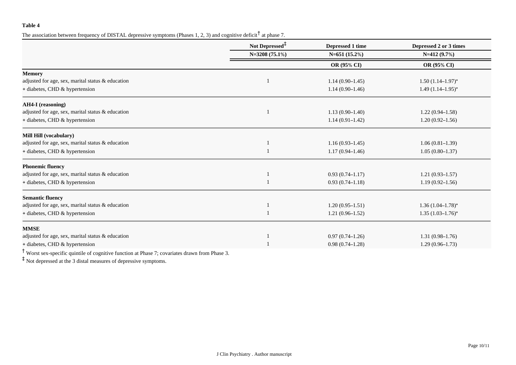The association between frequency of DISTAL depressive symptoms (Phases 1, 2, 3) and cognitive deficit  $^{\dagger}$  at phase 7.

|                                                   | Not Depressed <sup>‡</sup> | Depressed 1 time    | Depressed 2 or 3 times  |  |
|---------------------------------------------------|----------------------------|---------------------|-------------------------|--|
|                                                   | N=3208 (75.1%)             | $N=651(15.2%)$      | $N=412(9.7%)$           |  |
|                                                   |                            | OR (95% CI)         | OR (95% CI)             |  |
| <b>Memory</b>                                     |                            |                     |                         |  |
| adjusted for age, sex, marital status & education |                            | $1.14(0.90-1.45)$   | $1.50(1.14-1.97)$ *     |  |
| + diabetes, CHD & hypertension                    |                            | $1.14(0.90-1.46)$   | $1.49(1.14 - 1.95)^{*}$ |  |
| <b>AH4-I</b> (reasoning)                          |                            |                     |                         |  |
| adjusted for age, sex, marital status & education |                            | $1.13(0.90 - 1.40)$ | $1.22(0.94 - 1.58)$     |  |
| + diabetes, CHD & hypertension                    |                            | $1.14(0.91 - 1.42)$ | $1.20(0.92 - 1.56)$     |  |
| Mill Hill (vocabulary)                            |                            |                     |                         |  |
| adjusted for age, sex, marital status & education |                            | $1.16(0.93 - 1.45)$ | $1.06(0.81-1.39)$       |  |
| + diabetes, CHD & hypertension                    |                            | $1.17(0.94 - 1.46)$ | $1.05(0.80-1.37)$       |  |
| <b>Phonemic fluency</b>                           |                            |                     |                         |  |
| adjusted for age, sex, marital status & education |                            | $0.93(0.74 - 1.17)$ | $1.21(0.93 - 1.57)$     |  |
| + diabetes, CHD & hypertension                    |                            | $0.93(0.74 - 1.18)$ | $1.19(0.92 - 1.56)$     |  |
| <b>Semantic fluency</b>                           |                            |                     |                         |  |
| adjusted for age, sex, marital status & education |                            | $1.20(0.95 - 1.51)$ | $1.36(1.04 - 1.78)^{*}$ |  |
| + diabetes, CHD & hypertension                    |                            | $1.21(0.96-1.52)$   | $1.35(1.03 - 1.76)^{*}$ |  |
| <b>MMSE</b>                                       |                            |                     |                         |  |
| adjusted for age, sex, marital status & education |                            | $0.97(0.74 - 1.26)$ | $1.31(0.98 - 1.76)$     |  |
| + diabetes, CHD & hypertension                    |                            | $0.98(0.74 - 1.28)$ | $1.29(0.96-1.73)$       |  |

† Worst sex-specific quintile of cognitive function at Phase 7; covariates drawn from Phase 3.

‡ Not depressed at the 3 distal measures of depressive symptoms.